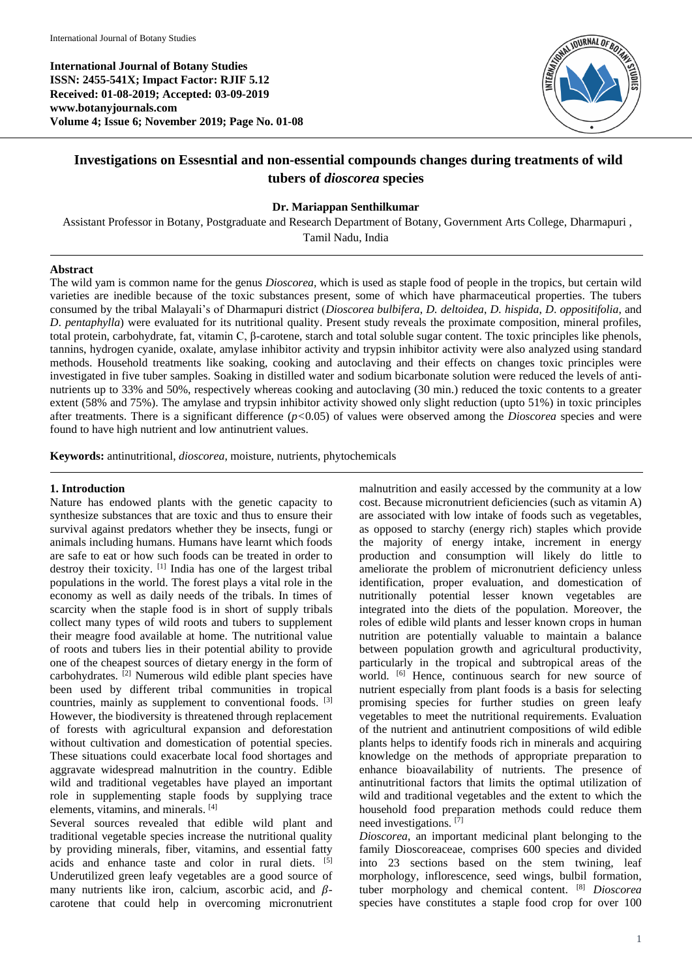**International Journal of Botany Studies ISSN: 2455-541X; Impact Factor: RJIF 5.12 Received: 01-08-2019; Accepted: 03-09-2019 www.botanyjournals.com Volume 4; Issue 6; November 2019; Page No. 01-08**



# **Investigations on Essesntial and non-essential compounds changes during treatments of wild tubers of** *dioscorea* **species**

#### **Dr. Mariappan Senthilkumar**

Assistant Professor in Botany, Postgraduate and Research Department of Botany, Government Arts College, Dharmapuri , Tamil Nadu, India

#### **Abstract**

The wild yam is common name for the genus *Dioscorea,* which is used as staple food of people in the tropics, but certain wild varieties are inedible because of the toxic substances present, some of which have pharmaceutical properties. The tubers consumed by the tribal Malayali's of Dharmapuri district (*Dioscorea bulbifera*, *D. deltoidea*, *D. hispida*, *D*. *oppositifolia*, and *D*. *pentaphylla*) were evaluated for its nutritional quality. Present study reveals the proximate composition, mineral profiles, total protein, carbohydrate, fat, vitamin C, β-carotene, starch and total soluble sugar content. The toxic principles like phenols, tannins, hydrogen cyanide, oxalate, amylase inhibitor activity and trypsin inhibitor activity were also analyzed using standard methods. Household treatments like soaking, cooking and autoclaving and their effects on changes toxic principles were investigated in five tuber samples. Soaking in distilled water and sodium bicarbonate solution were reduced the levels of antinutrients up to 33% and 50%, respectively whereas cooking and autoclaving (30 min.) reduced the toxic contents to a greater extent (58% and 75%). The amylase and trypsin inhibitor activity showed only slight reduction (upto 51%) in toxic principles after treatments. There is a significant difference (*p<*0.05) of values were observed among the *Dioscorea* species and were found to have high nutrient and low antinutrient values.

**Keywords:** antinutritional, *dioscorea*, moisture, nutrients, phytochemicals

#### **1. Introduction**

Nature has endowed plants with the genetic capacity to synthesize substances that are toxic and thus to ensure their survival against predators whether they be insects, fungi or animals including humans. Humans have learnt which foods are safe to eat or how such foods can be treated in order to destroy their toxicity. [1] India has one of the largest tribal populations in the world. The forest plays a vital role in the economy as well as daily needs of the tribals. In times of scarcity when the staple food is in short of supply tribals collect many types of wild roots and tubers to supplement their meagre food available at home. The nutritional value of roots and tubers lies in their potential ability to provide one of the cheapest sources of dietary energy in the form of carbohydrates. [2] Numerous wild edible plant species have been used by different tribal communities in tropical countries, mainly as supplement to conventional foods. [3] However, the biodiversity is threatened through replacement of forests with agricultural expansion and deforestation without cultivation and domestication of potential species. These situations could exacerbate local food shortages and aggravate widespread malnutrition in the country. Edible wild and traditional vegetables have played an important role in supplementing staple foods by supplying trace elements, vitamins, and minerals. [4]

Several sources revealed that edible wild plant and traditional vegetable species increase the nutritional quality by providing minerals, fiber, vitamins, and essential fatty acids and enhance taste and color in rural diets.  $[5]$ Underutilized green leafy vegetables are a good source of many nutrients like iron, calcium, ascorbic acid, and  $\beta$ carotene that could help in overcoming micronutrient

malnutrition and easily accessed by the community at a low cost. Because micronutrient deficiencies (such as vitamin A) are associated with low intake of foods such as vegetables, as opposed to starchy (energy rich) staples which provide the majority of energy intake, increment in energy production and consumption will likely do little to ameliorate the problem of micronutrient deficiency unless identification, proper evaluation, and domestication of nutritionally potential lesser known vegetables are integrated into the diets of the population. Moreover, the roles of edible wild plants and lesser known crops in human nutrition are potentially valuable to maintain a balance between population growth and agricultural productivity, particularly in the tropical and subtropical areas of the world. <sup>[6]</sup> Hence, continuous search for new source of nutrient especially from plant foods is a basis for selecting promising species for further studies on green leafy vegetables to meet the nutritional requirements. Evaluation of the nutrient and antinutrient compositions of wild edible plants helps to identify foods rich in minerals and acquiring knowledge on the methods of appropriate preparation to enhance bioavailability of nutrients. The presence of antinutritional factors that limits the optimal utilization of wild and traditional vegetables and the extent to which the household food preparation methods could reduce them need investigations.<sup>[7]</sup>

*Dioscorea*, an important medicinal plant belonging to the family Dioscoreaceae, comprises 600 species and divided into 23 sections based on the stem twining, leaf morphology, inflorescence, seed wings, bulbil formation, tuber morphology and chemical content. [8] *Dioscorea* species have constitutes a staple food crop for over 100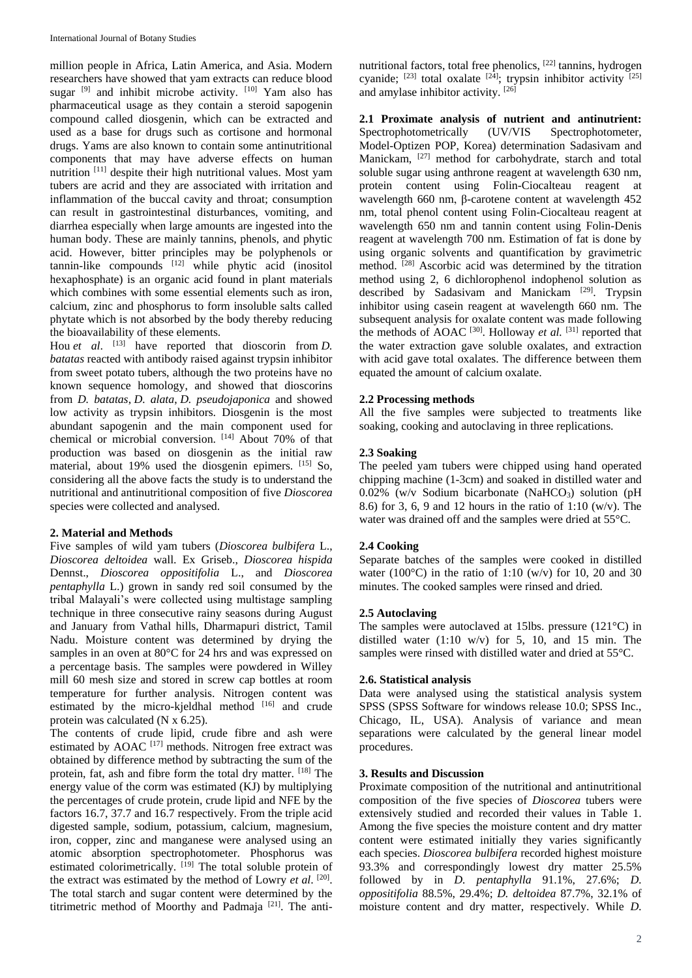million people in Africa, Latin America, and Asia. Modern researchers have showed that yam extracts can reduce blood sugar  $[9]$  and inhibit microbe activity.  $[10]$  Yam also has pharmaceutical usage as they contain a steroid sapogenin compound called diosgenin, which can be extracted and used as a base for drugs such as cortisone and hormonal drugs. Yams are also known to contain some antinutritional components that may have adverse effects on human nutrition [11] despite their high nutritional values. Most yam tubers are acrid and they are associated with irritation and inflammation of the buccal cavity and throat; consumption can result in gastrointestinal disturbances, vomiting, and diarrhea especially when large amounts are ingested into the human body. These are mainly tannins, phenols, and phytic acid. However, bitter principles may be polyphenols or tannin-like compounds [12] while phytic acid (inositol hexaphosphate) is an organic acid found in plant materials which combines with some essential elements such as iron, calcium, zinc and phosphorus to form insoluble salts called phytate which is not absorbed by the body thereby reducing the bioavailability of these elements.

Hou *et al*. [13] have reported that dioscorin from *D. batatas* reacted with antibody raised against trypsin inhibitor from sweet potato tubers, although the two proteins have no known sequence homology, and showed that dioscorins from *D. batatas*, *D. alata*, *D. pseudojaponica* and showed low activity as trypsin inhibitors. Diosgenin is the most abundant sapogenin and the main component used for chemical or microbial conversion.  $[14]$  About 70% of that production was based on diosgenin as the initial raw material, about 19% used the diosgenin epimers. [15] So, considering all the above facts the study is to understand the nutritional and antinutritional composition of five *Dioscorea* species were collected and analysed.

## **2. Material and Methods**

Five samples of wild yam tubers (*Dioscorea bulbifera* L., *Dioscorea deltoidea* wall. Ex Griseb., *Dioscorea hispida* Dennst., *Dioscorea oppositifolia* L., and *Dioscorea pentaphylla* L.) grown in sandy red soil consumed by the tribal Malayali's were collected using multistage sampling technique in three consecutive rainy seasons during August and January from Vathal hills, Dharmapuri district, Tamil Nadu. Moisture content was determined by drying the samples in an oven at 80°C for 24 hrs and was expressed on a percentage basis. The samples were powdered in Willey mill 60 mesh size and stored in screw cap bottles at room temperature for further analysis. Nitrogen content was estimated by the micro-kjeldhal method  $[16]$  and crude protein was calculated (N x 6.25).

The contents of crude lipid, crude fibre and ash were estimated by AOAC<sup>[17]</sup> methods. Nitrogen free extract was obtained by difference method by subtracting the sum of the protein, fat, ash and fibre form the total dry matter. [18] The energy value of the corm was estimated (KJ) by multiplying the percentages of crude protein, crude lipid and NFE by the factors 16.7, 37.7 and 16.7 respectively. From the triple acid digested sample, sodium, potassium, calcium, magnesium, iron, copper, zinc and manganese were analysed using an atomic absorption spectrophotometer. Phosphorus was estimated colorimetrically. <sup>[19]</sup> The total soluble protein of the extract was estimated by the method of Lowry *et al*. [20] . The total starch and sugar content were determined by the titrimetric method of Moorthy and Padmaja<sup>[21]</sup>. The antinutritional factors, total free phenolics, [22] tannins, hydrogen cyanide;  $^{[23]}$  total oxalate  $^{[24]}$ ; trypsin inhibitor activity  $^{[25]}$ and amylase inhibitor activity. [26]

**2.1 Proximate analysis of nutrient and antinutrient:**  Spectrophotometrically (UV/VIS Spectrophotometer, Model-Optizen POP, Korea) determination Sadasivam and Manickam, <sup>[27]</sup> method for carbohydrate, starch and total soluble sugar using anthrone reagent at wavelength 630 nm, protein content using Folin-Ciocalteau reagent at wavelength 660 nm, β-carotene content at wavelength 452 nm, total phenol content using Folin-Ciocalteau reagent at wavelength 650 nm and tannin content using Folin-Denis reagent at wavelength 700 nm. Estimation of fat is done by using organic solvents and quantification by gravimetric method. <sup>[28]</sup> Ascorbic acid was determined by the titration method using 2, 6 dichlorophenol indophenol solution as described by Sadasivam and Manickam <sup>[29]</sup>. Trypsin inhibitor using casein reagent at wavelength 660 nm. The subsequent analysis for oxalate content was made following the methods of AOAC<sup>[30]</sup>. Holloway *et al.* <sup>[31]</sup> reported that the water extraction gave soluble oxalates, and extraction with acid gave total oxalates. The difference between them equated the amount of calcium oxalate.

#### **2.2 Processing methods**

All the five samples were subjected to treatments like soaking, cooking and autoclaving in three replications.

#### **2.3 Soaking**

The peeled yam tubers were chipped using hand operated chipping machine (1-3cm) and soaked in distilled water and  $0.02\%$  (w/v Sodium bicarbonate (NaHCO<sub>3</sub>) solution (pH) 8.6) for 3, 6, 9 and 12 hours in the ratio of 1:10 (w/v). The water was drained off and the samples were dried at 55°C.

## **2.4 Cooking**

Separate batches of the samples were cooked in distilled water (100 $^{\circ}$ C) in the ratio of 1:10 (w/v) for 10, 20 and 30 minutes. The cooked samples were rinsed and dried.

## **2.5 Autoclaving**

The samples were autoclaved at 15lbs. pressure (121°C) in distilled water (1:10 w/v) for 5, 10, and 15 min. The samples were rinsed with distilled water and dried at 55°C.

## **2.6. Statistical analysis**

Data were analysed using the statistical analysis system SPSS (SPSS Software for windows release 10.0; SPSS Inc., Chicago, IL, USA). Analysis of variance and mean separations were calculated by the general linear model procedures.

#### **3. Results and Discussion**

Proximate composition of the nutritional and antinutritional composition of the five species of *Dioscorea* tubers were extensively studied and recorded their values in Table 1. Among the five species the moisture content and dry matter content were estimated initially they varies significantly each species. *Dioscorea bulbifera* recorded highest moisture 93.3% and correspondingly lowest dry matter 25.5% followed by in *D. pentaphylla* 91.1%, 27.6%; *D. oppositifolia* 88.5%, 29.4%; *D. deltoidea* 87.7%, 32.1% of moisture content and dry matter, respectively. While *D.*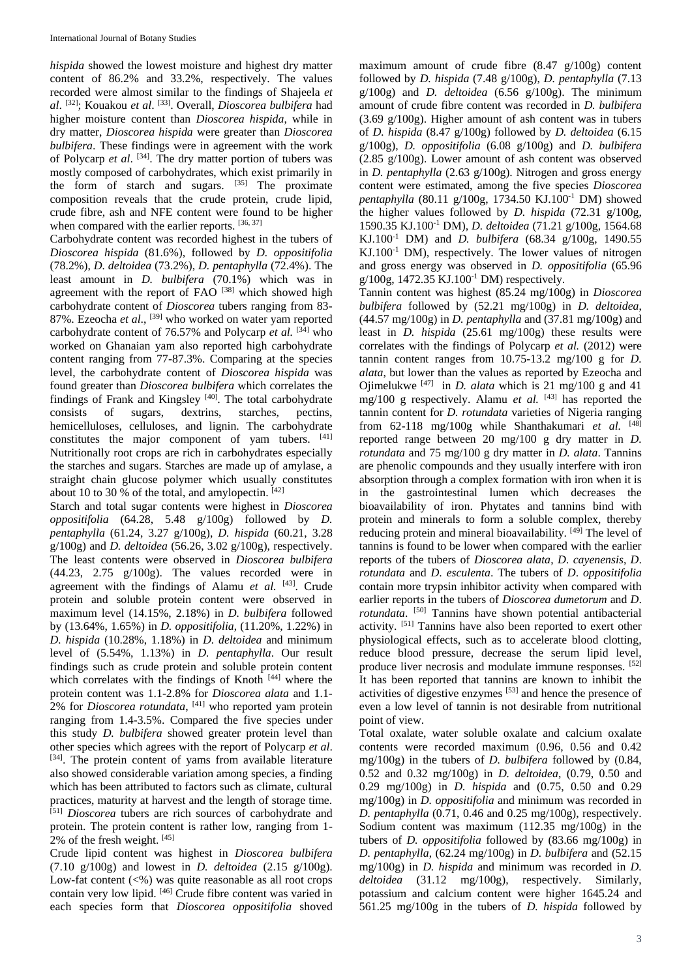*hispida* showed the lowest moisture and highest dry matter content of 86.2% and 33.2%, respectively. The values recorded were almost similar to the findings of Shajeela *et al*. [32]; Kouakou *et al*. [33]. Overall, *Dioscorea bulbifera* had higher moisture content than *Dioscorea hispida*, while in dry matter, *Dioscorea hispida* were greater than *Dioscorea bulbifera*. These findings were in agreement with the work of Polycarp *et al*. [34]. The dry matter portion of tubers was mostly composed of carbohydrates, which exist primarily in the form of starch and sugars.  $[35]$  The proximate composition reveals that the crude protein, crude lipid, crude fibre, ash and NFE content were found to be higher when compared with the earlier reports. [36, 37]

Carbohydrate content was recorded highest in the tubers of *Dioscorea hispida* (81.6%), followed by *D. oppositifolia*  (78.2%), *D. deltoidea* (73.2%), *D. pentaphylla* (72.4%). The least amount in *D. bulbifera* (70.1%) which was in agreement with the report of  $FAO$ <sup>[38]</sup> which showed high carbohydrate content of *Dioscorea* tubers ranging from 83- 87%. Ezeocha et al., <sup>[39]</sup> who worked on water yam reported carbohydrate content of 76.57% and Polycarp *et al.* [34] who worked on Ghanaian yam also reported high carbohydrate content ranging from 77-87.3%. Comparing at the species level, the carbohydrate content of *Dioscorea hispida* was found greater than *Dioscorea bulbifera* which correlates the findings of Frank and Kingsley [40]. The total carbohydrate consists of sugars, dextrins, starches, pectins, hemicelluloses, celluloses, and lignin. The carbohydrate constitutes the major component of yam tubers. [41] Nutritionally root crops are rich in carbohydrates especially the starches and sugars. Starches are made up of amylase, a straight chain glucose polymer which usually constitutes about 10 to 30 % of the total, and amylopectin.  $[42]$ 

Starch and total sugar contents were highest in *Dioscorea oppositifolia* (64.28, 5.48 g/100g) followed by *D. pentaphylla* (61.24, 3.27 g/100g), *D. hispida* (60.21, 3.28 g/100g) and *D. deltoidea* (56.26, 3.02 g/100g), respectively. The least contents were observed in *Dioscorea bulbifera*   $(44.23, 2.75 \text{ g}/100 \text{g})$ . The values recorded were in agreement with the findings of Alamu *et al.* [43]. Crude protein and soluble protein content were observed in maximum level (14.15%, 2.18%) in *D. bulbifera* followed by (13.64%, 1.65%) in *D. oppositifolia*, (11.20%, 1.22%) in *D. hispida* (10.28%, 1.18%) in *D. deltoidea* and minimum level of (5.54%, 1.13%) in *D. pentaphylla*. Our result findings such as crude protein and soluble protein content which correlates with the findings of Knoth [44] where the protein content was 1.1-2.8% for *Dioscorea alata* and 1.1- 2% for *Dioscorea rotundata*, [41] who reported yam protein ranging from 1.4-3.5%. Compared the five species under this study *D. bulbifera* showed greater protein level than other species which agrees with the report of Polycarp *et al*. [34]. The protein content of yams from available literature also showed considerable variation among species, a finding which has been attributed to factors such as climate, cultural practices, maturity at harvest and the length of storage time. [51] *Dioscorea* tubers are rich sources of carbohydrate and protein. The protein content is rather low, ranging from 1- 2% of the fresh weight. [45]

Crude lipid content was highest in *Dioscorea bulbifera*  (7.10 g/100g) and lowest in *D. deltoidea* (2.15 g/100g). Low-fat content  $(\leq 0)$  was quite reasonable as all root crops contain very low lipid. [46] Crude fibre content was varied in each species form that *Dioscorea oppositifolia* shoved

maximum amount of crude fibre (8.47 g/100g) content followed by *D. hispida* (7.48 g/100g), *D. pentaphylla* (7.13 g/100g) and *D. deltoidea* (6.56 g/100g). The minimum amount of crude fibre content was recorded in *D. bulbifera* (3.69 g/100g). Higher amount of ash content was in tubers of *D. hispida* (8.47 g/100g) followed by *D. deltoidea* (6.15 g/100g), *D. oppositifolia* (6.08 g/100g) and *D. bulbifera* (2.85 g/100g). Lower amount of ash content was observed in *D. pentaphylla* (2.63 g/100g). Nitrogen and gross energy content were estimated, among the five species *Dioscorea pentaphylla* (80.11 g/100g, 1734.50 KJ.100-1 DM) showed the higher values followed by *D. hispida* (72.31 g/100g, 1590.35 KJ.100-1 DM), *D. deltoidea* (71.21 g/100g, 1564.68 KJ.100-1 DM) and *D. bulbifera* (68.34 g/100g, 1490.55  $KJ.100<sup>-1</sup>$  DM), respectively. The lower values of nitrogen and gross energy was observed in *D. oppositifolia* (65.96 g/100g, 1472.35 KJ.100-1 DM) respectively.

Tannin content was highest (85.24 mg/100g) in *Dioscorea bulbifera* followed by (52.21 mg/100g) in *D. deltoidea*, (44.57 mg/100g) in *D. pentaphylla* and (37.81 mg/100g) and least in *D. hispida* (25.61 mg/100g) these results were correlates with the findings of Polycarp *et al.* (2012) were tannin content ranges from 10.75-13.2 mg/100 g for *D. alata*, but lower than the values as reported by Ezeocha and Ojimelukwe  $[47]$  in *D. alata* which is 21 mg/100 g and 41 mg/100 g respectively. Alamu *et al.* [43] has reported the tannin content for *D. rotundata* varieties of Nigeria ranging from 62-118 mg/100g while Shanthakumari *et al.*  $[48]$ reported range between 20 mg/100 g dry matter in *D. rotundata* and 75 mg/100 g dry matter in *D. alata*. Tannins are phenolic compounds and they usually interfere with iron absorption through a complex formation with iron when it is in the gastrointestinal lumen which decreases the bioavailability of iron. Phytates and tannins bind with protein and minerals to form a soluble complex, thereby reducing protein and mineral bioavailability. [49] The level of tannins is found to be lower when compared with the earlier reports of the tubers of *Dioscorea alata*, *D*. *cayenensis*, *D*. *rotundata* and *D*. *esculenta*. The tubers of *D*. *oppositifolia*  contain more trypsin inhibitor activity when compared with earlier reports in the tubers of *Dioscorea dumetorum* and *D*. *rotundata*. [50] Tannins have shown potential antibacterial activity. <sup>[51]</sup> Tannins have also been reported to exert other physiological effects, such as to accelerate blood clotting, reduce blood pressure, decrease the serum lipid level, produce liver necrosis and modulate immune responses. [52] It has been reported that tannins are known to inhibit the activities of digestive enzymes [53] and hence the presence of even a low level of tannin is not desirable from nutritional point of view.

Total oxalate, water soluble oxalate and calcium oxalate contents were recorded maximum (0.96, 0.56 and 0.42 mg/100g) in the tubers of *D. bulbifera* followed by (0.84, 0.52 and 0.32 mg/100g) in *D. deltoidea*, (0.79, 0.50 and 0.29 mg/100g) in *D. hispida* and (0.75, 0.50 and 0.29 mg/100g) in *D. oppositifolia* and minimum was recorded in *D. pentaphylla* (0.71, 0.46 and 0.25 mg/100g), respectively. Sodium content was maximum (112.35 mg/100g) in the tubers of *D. oppositifolia* followed by (83.66 mg/100g) in *D. pentaphylla*, (62.24 mg/100g) in *D. bulbifera* and (52.15 mg/100g) in *D. hispida* and minimum was recorded in *D. deltoidea* (31.12 mg/100g), respectively. Similarly, potassium and calcium content were higher 1645.24 and 561.25 mg/100g in the tubers of *D. hispida* followed by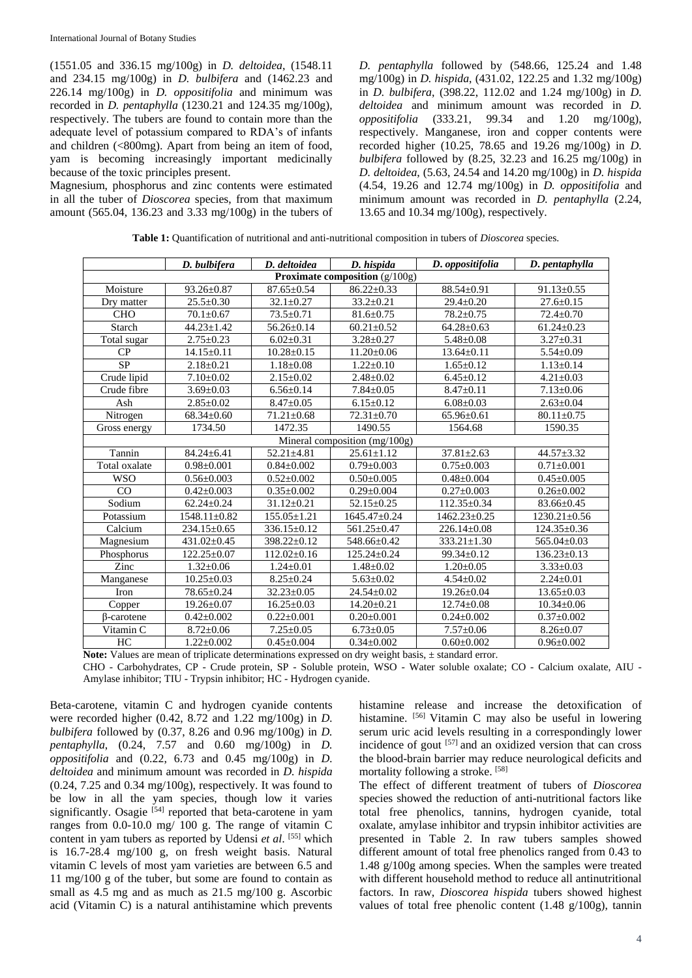(1551.05 and 336.15 mg/100g) in *D. deltoidea*, (1548.11 and 234.15 mg/100g) in *D. bulbifera* and (1462.23 and 226.14 mg/100g) in *D. oppositifolia* and minimum was recorded in *D. pentaphylla* (1230.21 and 124.35 mg/100g), respectively. The tubers are found to contain more than the adequate level of potassium compared to RDA's of infants and children (<800mg). Apart from being an item of food, yam is becoming increasingly important medicinally because of the toxic principles present.

Magnesium, phosphorus and zinc contents were estimated in all the tuber of *Dioscorea* species, from that maximum amount (565.04, 136.23 and 3.33 mg/100g) in the tubers of *D. pentaphylla* followed by (548.66, 125.24 and 1.48 mg/100g) in *D. hispida*, (431.02, 122.25 and 1.32 mg/100g) in *D. bulbifera*, (398.22, 112.02 and 1.24 mg/100g) in *D. deltoidea* and minimum amount was recorded in *D. oppositifolia* (333.21, 99.34 and 1.20 mg/100g), respectively. Manganese, iron and copper contents were recorded higher (10.25, 78.65 and 19.26 mg/100g) in *D. bulbifera* followed by (8.25, 32.23 and 16.25 mg/100g) in *D. deltoidea*, (5.63, 24.54 and 14.20 mg/100g) in *D. hispida*  (4.54, 19.26 and 12.74 mg/100g) in *D. oppositifolia* and minimum amount was recorded in *D. pentaphylla* (2.24, 13.65 and 10.34 mg/100g), respectively.

**Table 1:** Quantification of nutritional and anti-nutritional composition in tubers of *Dioscorea* species.

| D. bulbifera                                   |                                                       | D. deltoidea                         | D. hispida                           | D. oppositifolia                     | D. pentaphylla    |  |  |  |  |  |  |
|------------------------------------------------|-------------------------------------------------------|--------------------------------------|--------------------------------------|--------------------------------------|-------------------|--|--|--|--|--|--|
| Proximate composition $(g/100g)$               |                                                       |                                      |                                      |                                      |                   |  |  |  |  |  |  |
| Moisture                                       | $93.26 \pm 0.87$                                      | $87.65 \pm 0.54$                     | $86.22 \pm 0.33$                     | 88.54±0.91                           | $91.13 \pm 0.55$  |  |  |  |  |  |  |
| Dry matter                                     | $25.5 \pm 0.30$                                       | $32.1 \pm 0.27$                      | $33.2 \pm 0.21$                      | $29.4 \pm 0.20$                      | $27.6 \pm 0.15$   |  |  |  |  |  |  |
| <b>CHO</b>                                     | $70.1 \pm 0.67$                                       | $73.5 \pm 0.71$                      | $81.6 \pm 0.75$                      | $78.2 \pm 0.75$                      | $72.4 \pm 0.70$   |  |  |  |  |  |  |
| Starch                                         | $44.23 \pm 1.42$                                      | $56.26 \pm 0.14$                     | $60.21 \pm 0.52$                     | $64.28 \pm 0.63$                     | $61.24 \pm 0.23$  |  |  |  |  |  |  |
| Total sugar                                    | $2.75 \pm 0.23$                                       | $6.02 \pm 0.31$                      | $3.28 \pm 0.27$                      | $5.48 \pm 0.08$                      | $3.27 \pm 0.31$   |  |  |  |  |  |  |
| CP                                             | $14.15 \pm 0.11$                                      | $10.28 \pm 0.15$                     | $11.20 \pm 0.06$                     | $13.64 \pm 0.11$                     | $5.54 \pm 0.09$   |  |  |  |  |  |  |
| $\overline{\text{SP}}$                         | $2.18 \pm 0.21$                                       | $1.18 \pm 0.08$                      | $1.22 \pm 0.10$                      | $1.65 \pm 0.12$                      | $1.13 \pm 0.14$   |  |  |  |  |  |  |
| Crude lipid                                    | $7.10 \pm 0.02$                                       |                                      | $2.48 \pm 0.02$                      | $6.45 \pm 0.12$                      | $4.21 \pm 0.03$   |  |  |  |  |  |  |
| Crude fibre                                    | $3.69 \pm 0.03$                                       |                                      | $7.84 \pm 0.05$                      | $8.47 \pm 0.11$                      | $7.13 \pm 0.06$   |  |  |  |  |  |  |
| Ash<br>$2.85 \pm 0.02$                         |                                                       | $8.47 \pm 0.05$                      | $6.15 \pm 0.12$                      | $6.08 \pm 0.03$                      | $2.63 \pm 0.04$   |  |  |  |  |  |  |
| Nitrogen                                       | $68.34 \pm 0.60$                                      | $71.21 \pm 0.68$                     | $72.31 \pm 0.70$<br>$65.96 \pm 0.61$ |                                      | $80.11 \pm 0.75$  |  |  |  |  |  |  |
| 1734.50<br>Gross energy                        |                                                       | 1472.35                              | 1490.55                              | 1564.68                              | 1590.35           |  |  |  |  |  |  |
| Mineral composition $(mg/100g)$                |                                                       |                                      |                                      |                                      |                   |  |  |  |  |  |  |
| Tannin                                         | $84.24 \pm 6.41$                                      | $52.21 \pm 4.81$                     | $25.61 \pm 1.12$                     | $37.81 \pm 2.63$                     | $44.57 \pm 3.32$  |  |  |  |  |  |  |
| Total oxalate<br>$0.98 \pm 0.001$              |                                                       | $0.84 \pm 0.002$                     | $0.79 \pm 0.003$                     | $0.75 \pm 0.003$                     | $0.71 \pm 0.001$  |  |  |  |  |  |  |
| <b>WSO</b><br>$0.56 \pm 0.003$                 |                                                       | $0.52 \pm 0.002$                     | $0.50 \pm 0.005$                     | $0.48 \pm 0.004$                     | $0.45 \pm 0.005$  |  |  |  |  |  |  |
| CO                                             | $0.42 \pm 0.003$                                      | $0.35 \pm 0.002$<br>$0.29 \pm 0.004$ |                                      | $0.27 \pm 0.003$                     | $0.26 \pm 0.002$  |  |  |  |  |  |  |
| Sodium                                         | $62.24 \pm 0.24$<br>$31.12 \pm 0.21$                  |                                      | $52.15 \pm 0.25$                     | 112.35±0.34                          | $83.66 \pm 0.45$  |  |  |  |  |  |  |
| Potassium<br>$1548.11 \pm 0.82$                |                                                       | $155.05 \pm 1.21$                    | $1645.47 \pm 0.24$                   | $1462.23 \pm 0.25$                   | 1230.21±0.56      |  |  |  |  |  |  |
| Calcium<br>234.15±0.65                         |                                                       | $336.15 \pm 0.12$                    | $561.25 \pm 0.47$                    | $226.14 \pm 0.08$                    | $124.35 \pm 0.36$ |  |  |  |  |  |  |
| Magnesium                                      | 431.02±0.45                                           | 398.22±0.12                          | 548.66±0.42                          | $333.21 \pm 1.30$                    | 565.04±0.03       |  |  |  |  |  |  |
| Phosphorus                                     | $122.25 \pm 0.07$                                     | $112.02 \pm 0.16$                    | $125.24 \pm 0.24$                    | $99.34 \pm 0.12$                     | $136.23 \pm 0.13$ |  |  |  |  |  |  |
| Zinc                                           | $1.32 \pm 0.06$                                       | $1.24 \pm 0.01$                      | $1.48 \pm 0.02$                      | $1.20 \pm 0.05$                      | $3.33 \pm 0.03$   |  |  |  |  |  |  |
| Manganese                                      | $10.25 \pm 0.03$                                      | $8.25 \pm 0.24$                      | $5.63 \pm 0.02$                      | $4.54 \pm 0.02$                      | $2.24 \pm 0.01$   |  |  |  |  |  |  |
| <b>Iron</b>                                    | $78.65 \pm 0.24$                                      | $32.23 \pm 0.05$                     | $24.54 \pm 0.02$                     | $19.26 \pm 0.04$                     | $13.65 \pm 0.03$  |  |  |  |  |  |  |
| $19.26 \pm 0.07$<br>$16.25 \pm 0.03$<br>Copper |                                                       | $14.20 \pm 0.21$                     | $12.74 \pm 0.08$                     | $10.34 \pm 0.06$                     |                   |  |  |  |  |  |  |
| $\beta$ -carotene                              | $0.42 \pm 0.002$                                      | $0.22 \pm 0.001$                     | $0.20 \pm 0.001$                     | $0.24 \pm 0.002$<br>$0.37 \pm 0.002$ |                   |  |  |  |  |  |  |
| Vitamin C                                      | $8.72 \pm 0.06$<br>$7.25 \pm 0.05$<br>$6.73 \pm 0.05$ |                                      |                                      | $7.57 \pm 0.06$                      | $8.26 \pm 0.07$   |  |  |  |  |  |  |
| HC                                             | $1.22 \pm 0.002$                                      | $0.45 \pm 0.004$                     | $0.34 \pm 0.002$                     | $0.60 \pm 0.002$                     | $0.96 \pm 0.002$  |  |  |  |  |  |  |
| $x + 1$                                        |                                                       |                                      |                                      |                                      |                   |  |  |  |  |  |  |

**Note:** Values are mean of triplicate determinations expressed on dry weight basis,  $\pm$  standard error.

CHO - Carbohydrates, CP - Crude protein, SP - Soluble protein, WSO - Water soluble oxalate; CO - Calcium oxalate, AIU - Amylase inhibitor; TIU - Trypsin inhibitor; HC - Hydrogen cyanide.

Beta-carotene, vitamin C and hydrogen cyanide contents were recorded higher (0.42, 8.72 and 1.22 mg/100g) in *D. bulbifera* followed by (0.37, 8.26 and 0.96 mg/100g) in *D. pentaphylla*, (0.24, 7.57 and 0.60 mg/100g) in *D. oppositifolia* and (0.22, 6.73 and 0.45 mg/100g) in *D. deltoidea* and minimum amount was recorded in *D. hispida*  (0.24, 7.25 and 0.34 mg/100g), respectively. It was found to be low in all the yam species, though low it varies significantly. Osagie <sup>[54]</sup> reported that beta-carotene in yam ranges from 0.0-10.0 mg/ 100 g. The range of vitamin C content in yam tubers as reported by Udensi *et al*. [55] which is 16.7-28.4 mg/100 g, on fresh weight basis. Natural vitamin C levels of most yam varieties are between 6.5 and 11 mg/100 g of the tuber, but some are found to contain as small as 4.5 mg and as much as 21.5 mg/100 g. Ascorbic acid (Vitamin C) is a natural antihistamine which prevents

histamine release and increase the detoxification of histamine. <sup>[56]</sup> Vitamin C may also be useful in lowering serum uric acid levels resulting in a correspondingly lower incidence of gout  $[57]$  and an oxidized version that can cross the blood-brain barrier may reduce neurological deficits and mortality following a stroke. [58]

The effect of different treatment of tubers of *Dioscorea* species showed the reduction of anti-nutritional factors like total free phenolics, tannins, hydrogen cyanide, total oxalate, amylase inhibitor and trypsin inhibitor activities are presented in Table 2. In raw tubers samples showed different amount of total free phenolics ranged from 0.43 to 1.48 g/100g among species. When the samples were treated with different household method to reduce all antinutritional factors. In raw, *Dioscorea hispida* tubers showed highest values of total free phenolic content (1.48 g/100g), tannin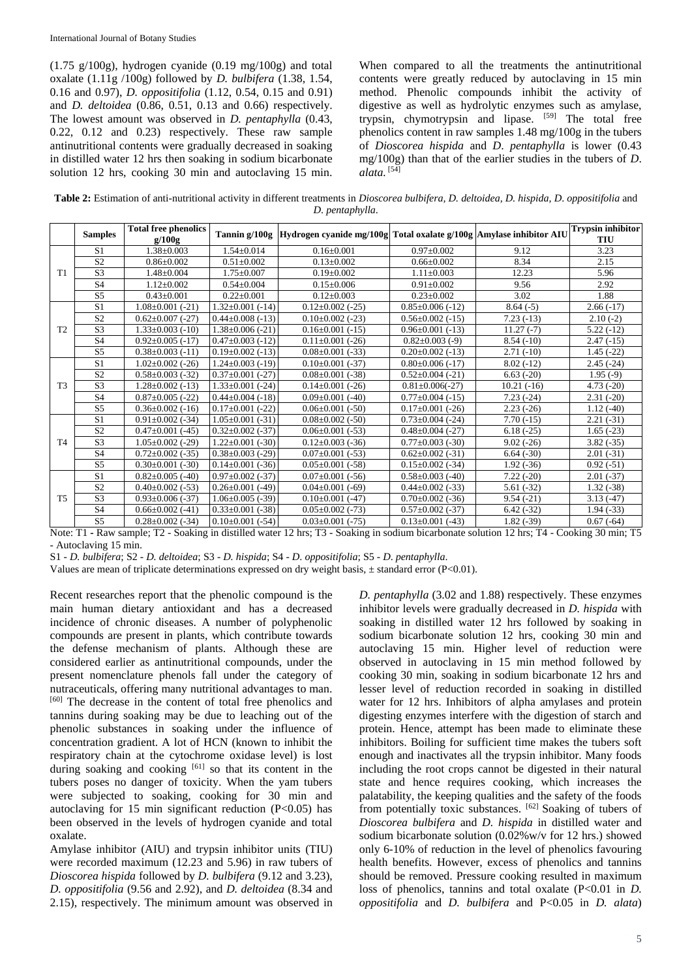$(1.75 \text{ g}/100 \text{g})$ , hydrogen cyanide  $(0.19 \text{ mg}/100 \text{g})$  and total oxalate (1.11g /100g) followed by *D. bulbifera* (1.38, 1.54, 0.16 and 0.97), *D. oppositifolia* (1.12, 0.54, 0.15 and 0.91) and *D. deltoidea* (0.86, 0.51, 0.13 and 0.66) respectively. The lowest amount was observed in *D. pentaphylla* (0.43, 0.22, 0.12 and 0.23) respectively. These raw sample antinutritional contents were gradually decreased in soaking in distilled water 12 hrs then soaking in sodium bicarbonate solution 12 hrs, cooking 30 min and autoclaving 15 min.

When compared to all the treatments the antinutritional contents were greatly reduced by autoclaving in 15 min method. Phenolic compounds inhibit the activity of digestive as well as hydrolytic enzymes such as amylase, trypsin, chymotrypsin and lipase. [59] The total free phenolics content in raw samples 1.48 mg/100g in the tubers of *Dioscorea hispida* and *D*. *pentaphylla* is lower (0.43 mg/100g) than that of the earlier studies in the tubers of *D*. *alata.* [54]

**Table 2:** Estimation of anti-nutritional activity in different treatments in *Dioscorea bulbifera, D. deltoidea, D. hispida, D*. *oppositifolia* and *D*. *pentaphylla*.

|                | <b>Samples</b> | <b>Total free phenolics</b><br>g/100g | Tannin g/100g          | Hydrogen cyanide mg/100g Total oxalate g/100g Amylase inhibitor AIU |                        |              | <b>Trypsin inhibitor</b><br>TIU |
|----------------|----------------|---------------------------------------|------------------------|---------------------------------------------------------------------|------------------------|--------------|---------------------------------|
| T1             | S <sub>1</sub> | $1.38 \pm 0.003$                      | $1.54 \pm 0.014$       | $0.16 \pm 0.001$                                                    | $0.97 \pm 0.002$       | 9.12         | 3.23                            |
|                | S <sub>2</sub> | $0.86 \pm 0.002$                      | $0.51 \pm 0.002$       | $0.13 \pm 0.002$                                                    | $0.66 \pm 0.002$       | 8.34         | 2.15                            |
|                | S <sub>3</sub> | $1.48 \pm 0.004$                      | $1.75 \pm 0.007$       | $0.19 \pm 0.002$                                                    | $1.11 \pm 0.003$       | 12.23        | 5.96                            |
|                | S <sub>4</sub> | $1.12 \pm 0.002$                      | $0.54 \pm 0.004$       | $0.15 \pm 0.006$                                                    | $0.91 \pm 0.002$       | 9.56         | 2.92                            |
|                | S <sub>5</sub> | $0.43 \pm 0.001$                      | $0.22 \pm 0.001$       | $0.12 \pm 0.003$                                                    | $0.23 \pm 0.002$       | 3.02         | 1.88                            |
| T <sub>2</sub> | S <sub>1</sub> | $1.08 \pm 0.001$ (-21)                | $1.32 \pm 0.001$ (-14) | $0.12\pm0.002$ (-25)                                                | $0.85 \pm 0.006$ (-12) | $8.64(-5)$   | $2.66(-17)$                     |
|                | S <sub>2</sub> | $0.62 \pm 0.007$ (-27)                | $0.44 \pm 0.008$ (-13) | $0.10\pm0.002$ (-23)                                                | $0.56 \pm 0.002$ (-15) | $7.23(-13)$  | $2.10(-2)$                      |
|                | S <sub>3</sub> | $1.33 \pm 0.003$ (-10)                | $1.38 \pm 0.006$ (-21) | $0.16 \pm 0.001$ (-15)                                              | $0.96 \pm 0.001$ (-13) | $11.27(-7)$  | $5.22(-12)$                     |
|                | S <sub>4</sub> | $0.92 \pm 0.005$ (-17)                | $0.47\pm0.003$ (-12)   | $0.11\pm0.001$ (-26)                                                | $0.82\pm0.003$ (-9)    | $8.54(-10)$  | $2.47(-15)$                     |
|                | S <sub>5</sub> | $0.38 \pm 0.003$ (-11)                | $0.19\pm0.002$ (-13)   | $0.08 \pm 0.001$ (-33)                                              | $0.20\pm0.002$ (-13)   | $2.71(-10)$  | $1.45(-22)$                     |
| T <sub>3</sub> | S <sub>1</sub> | $1.02 \pm 0.002$ (-26)                | $1.24 \pm 0.003$ (-19) | $0.10\pm0.001$ (-37)                                                | $0.80\pm0.006$ (-17)   | $8.02(-12)$  | $2.45(-24)$                     |
|                | S <sub>2</sub> | $0.58 \pm 0.003$ (-32)                | $0.37\pm0.001$ (-27)   | $0.08 \pm 0.001$ (-38)                                              | $0.52 \pm 0.004$ (-21) | $6.63(-20)$  | $1.95(-9)$                      |
|                | S <sub>3</sub> | $1.28 \pm 0.002$ (-13)                | $1.33 \pm 0.001$ (-24) | $0.14\pm0.001$ (-26)                                                | $0.81 \pm 0.006(-27)$  | $10.21(-16)$ | $4.73(-20)$                     |
|                | S <sub>4</sub> | $0.87 \pm 0.005$ (-22)                | $0.44 \pm 0.004$ (-18) | $0.09\pm0.001$ (-40)                                                | $0.77\pm0.004$ (-15)   | $7.23(-24)$  | $2.31(-20)$                     |
|                | S <sub>5</sub> | $0.36\pm0.002$ (-16)                  | $0.17\pm0.001$ (-22)   | $0.06\pm0.001$ (-50)                                                | $0.17\pm0.001$ (-26)   | $2.23(-26)$  | $1.12(-40)$                     |
| <b>T4</b>      | S <sub>1</sub> | $0.91 \pm 0.002$ (-34)                | $1.05 \pm 0.001$ (-31) | $0.08\pm0.002$ (-50)                                                | $0.73 \pm 0.004$ (-24) | $7.70(-15)$  | $2.21(-31)$                     |
|                | S <sub>2</sub> | $0.47 \pm 0.001$ (-45)                | $0.32 \pm 0.002$ (-37) | $0.06\pm0.001$ (-53)                                                | $0.48 \pm 0.004$ (-27) | $6.18(-25)$  | $1.65(-23)$                     |
|                | S <sub>3</sub> | $1.05 \pm 0.002$ (-29)                | $1.22 \pm 0.001$ (-30) | $0.12 \pm 0.003$ (-36)                                              | $0.77 \pm 0.003$ (-30) | $9.02(-26)$  | $3.82(-35)$                     |
|                | S <sub>4</sub> | $0.72 \pm 0.002$ (-35)                | $0.38 \pm 0.003$ (-29) | $0.07\pm0.001$ (-53)                                                | $0.62 \pm 0.002$ (-31) | $6.64(-30)$  | $2.01(-31)$                     |
|                | S <sub>5</sub> | $0.30\pm0.001$ (-30)                  | $0.14\pm0.001$ (-36)   | $0.05 \pm 0.001$ (-58)                                              | $0.15 \pm 0.002$ (-34) | $1.92(-36)$  | $0.92(-51)$                     |
| T <sub>5</sub> | S <sub>1</sub> | $0.82 \pm 0.005$ (-40)                | $0.97 \pm 0.002$ (-37) | $0.07\pm0.001$ (-56)                                                | $0.58 \pm 0.003$ (-40) | $7.22(-20)$  | $2.01(-37)$                     |
|                | S <sub>2</sub> | $0.40\pm0.002$ (-53)                  | $0.26 \pm 0.001$ (-49) | $0.04 \pm 0.001$ (-69)                                              | $0.44\pm0.002$ (-33)   | $5.61(-32)$  | $1.32(-38)$                     |
|                | S <sub>3</sub> | $0.93 \pm 0.006$ (-37)                | $1.06 \pm 0.005$ (-39) | $0.10\pm0.001$ (-47)                                                | $0.70\pm0.002$ (-36)   | $9.54(-21)$  | $3.13(-47)$                     |
|                | S <sub>4</sub> | $0.66\pm0.002$ (-41)                  | $0.33 \pm 0.001$ (-38) | $0.05 \pm 0.002$ (-73)                                              | $0.57 \pm 0.002$ (-37) | $6.42(-32)$  | $1.94(-33)$                     |
|                | S <sub>5</sub> | $0.28 \pm 0.002$ (-34)                | $0.10\pm0.001$ (-54)   | $0.03 \pm 0.001$ (-75)                                              | $0.13 \pm 0.001$ (-43) | $1.82(-39)$  | $0.67(-64)$                     |

Note: T1 **-** Raw sample; T2 - Soaking in distilled water 12 hrs; T3 - Soaking in sodium bicarbonate solution 12 hrs; T4 - Cooking 30 min; T5 - Autoclaving 15 min.

S1 - *D. bulbifera*; S2 - *D. deltoidea*; S3 - *D. hispida*; S4 - *D*. *oppositifolia*; S5 - *D*. *pentaphylla*.

Values are mean of triplicate determinations expressed on dry weight basis, ± standard error (P<0.01).

Recent researches report that the phenolic compound is the main human dietary antioxidant and has a decreased incidence of chronic diseases. A number of polyphenolic compounds are present in plants, which contribute towards the defense mechanism of plants. Although these are considered earlier as antinutritional compounds, under the present nomenclature phenols fall under the category of nutraceuticals, offering many nutritional advantages to man. [60] The decrease in the content of total free phenolics and tannins during soaking may be due to leaching out of the phenolic substances in soaking under the influence of concentration gradient. A lot of HCN (known to inhibit the respiratory chain at the cytochrome oxidase level) is lost during soaking and cooking  $[61]$  so that its content in the tubers poses no danger of toxicity. When the yam tubers were subjected to soaking, cooking for 30 min and autoclaving for 15 min significant reduction  $(P<0.05)$  has been observed in the levels of hydrogen cyanide and total oxalate.

Amylase inhibitor (AIU) and trypsin inhibitor units (TIU) were recorded maximum (12.23 and 5.96) in raw tubers of *Dioscorea hispida* followed by *D. bulbifera* (9.12 and 3.23), *D. oppositifolia* (9.56 and 2.92), and *D. deltoidea* (8.34 and 2.15), respectively. The minimum amount was observed in

*D. pentaphylla* (3.02 and 1.88) respectively. These enzymes inhibitor levels were gradually decreased in *D. hispida* with soaking in distilled water 12 hrs followed by soaking in sodium bicarbonate solution 12 hrs, cooking 30 min and autoclaving 15 min. Higher level of reduction were observed in autoclaving in 15 min method followed by cooking 30 min, soaking in sodium bicarbonate 12 hrs and lesser level of reduction recorded in soaking in distilled water for 12 hrs. Inhibitors of alpha amylases and protein digesting enzymes interfere with the digestion of starch and protein. Hence, attempt has been made to eliminate these inhibitors. Boiling for sufficient time makes the tubers soft enough and inactivates all the trypsin inhibitor. Many foods including the root crops cannot be digested in their natural state and hence requires cooking, which increases the palatability, the keeping qualities and the safety of the foods from potentially toxic substances. [62] Soaking of tubers of *Dioscorea bulbifera* and *D. hispida* in distilled water and sodium bicarbonate solution (0.02%w/v for 12 hrs.) showed only 6-10% of reduction in the level of phenolics favouring health benefits. However, excess of phenolics and tannins should be removed. Pressure cooking resulted in maximum loss of phenolics, tannins and total oxalate (P<0.01 in *D*. *oppositifolia* and *D. bulbifera* and P<0.05 in *D. alata*)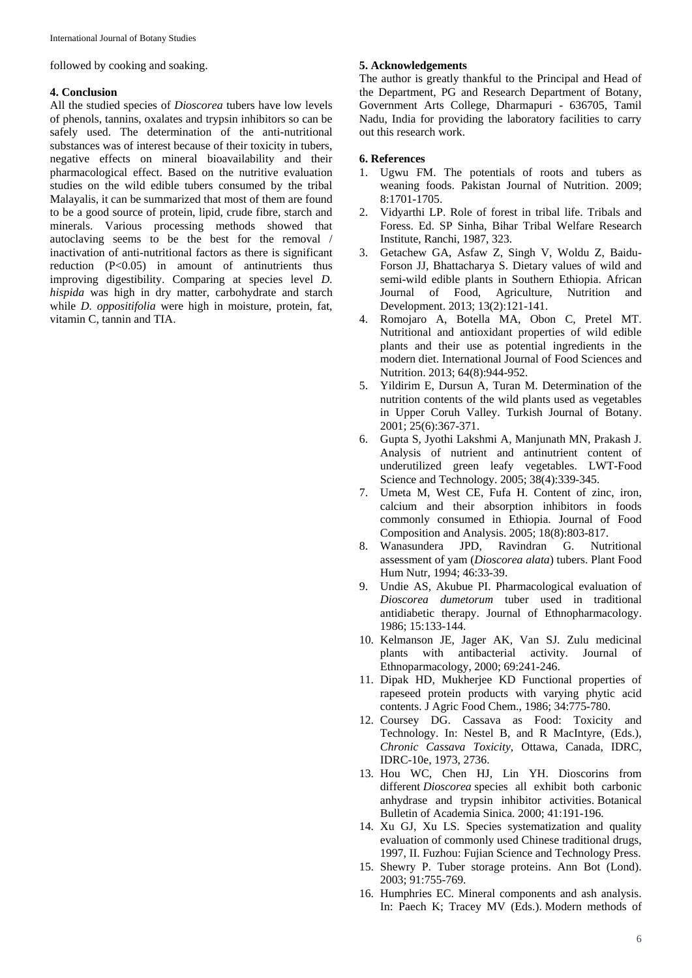followed by cooking and soaking.

## **4. Conclusion**

All the studied species of *Dioscorea* tubers have low levels of phenols, tannins, oxalates and trypsin inhibitors so can be safely used. The determination of the anti-nutritional substances was of interest because of their toxicity in tubers, negative effects on mineral bioavailability and their pharmacological effect. Based on the nutritive evaluation studies on the wild edible tubers consumed by the tribal Malayalis, it can be summarized that most of them are found to be a good source of protein, lipid, crude fibre, starch and minerals. Various processing methods showed that autoclaving seems to be the best for the removal / inactivation of anti-nutritional factors as there is significant reduction (P<0.05) in amount of antinutrients thus improving digestibility. Comparing at species level *D. hispida* was high in dry matter, carbohydrate and starch while *D. oppositifolia* were high in moisture, protein, fat, vitamin C, tannin and TIA.

## **5. Acknowledgements**

The author is greatly thankful to the Principal and Head of the Department, PG and Research Department of Botany, Government Arts College, Dharmapuri - 636705, Tamil Nadu, India for providing the laboratory facilities to carry out this research work.

## **6. References**

- 1. Ugwu FM. The potentials of roots and tubers as weaning foods. Pakistan Journal of Nutrition. 2009; 8:1701-1705.
- 2. Vidyarthi LP. Role of forest in tribal life. Tribals and Foress. Ed. SP Sinha, Bihar Tribal Welfare Research Institute, Ranchi, 1987, 323.
- 3. Getachew GA, Asfaw Z, Singh V, Woldu Z, Baidu-Forson JJ, Bhattacharya S. Dietary values of wild and semi-wild edible plants in Southern Ethiopia. African Journal of Food, Agriculture, Nutrition and Development. 2013; 13(2):121-141.
- 4. Romojaro A, Botella MA, Obon C, Pretel MT. Nutritional and antioxidant properties of wild edible plants and their use as potential ingredients in the modern diet. International Journal of Food Sciences and Nutrition. 2013; 64(8):944-952.
- 5. Yildirim E, Dursun A, Turan M. Determination of the nutrition contents of the wild plants used as vegetables in Upper Coruh Valley. Turkish Journal of Botany. 2001; 25(6):367-371.
- 6. Gupta S, Jyothi Lakshmi A, Manjunath MN, Prakash J. Analysis of nutrient and antinutrient content of underutilized green leafy vegetables. LWT-Food Science and Technology. 2005; 38(4):339-345.
- 7. Umeta M, West CE, Fufa H. Content of zinc, iron, calcium and their absorption inhibitors in foods commonly consumed in Ethiopia. Journal of Food Composition and Analysis. 2005; 18(8):803-817.
- 8. Wanasundera JPD, Ravindran G. Nutritional assessment of yam (*Dioscorea alata*) tubers. Plant Food Hum Nutr, 1994; 46:33-39.
- 9. Undie AS, Akubue PI. Pharmacological evaluation of *Dioscorea dumetorum* tuber used in traditional antidiabetic therapy. Journal of Ethnopharmacology. 1986; 15:133-144.
- 10. Kelmanson JE, Jager AK, Van SJ. Zulu medicinal plants with antibacterial activity. Journal of Ethnoparmacology, 2000; 69:241-246.
- 11. Dipak HD, Mukherjee KD Functional properties of rapeseed protein products with varying phytic acid contents. J Agric Food Chem., 1986; 34:775-780.
- 12. Coursey DG. Cassava as Food: Toxicity and Technology. In: Nestel B, and R MacIntyre, (Eds.), *Chronic Cassava Toxicity*, Ottawa, Canada, IDRC, IDRC-10e, 1973, 2736.
- 13. Hou WC, Chen HJ, Lin YH. Dioscorins from different *Dioscorea* species all exhibit both carbonic anhydrase and trypsin inhibitor activities. Botanical Bulletin of Academia Sinica. 2000; 41:191-196.
- 14. Xu GJ, Xu LS. Species systematization and quality evaluation of commonly used Chinese traditional drugs, 1997, II. Fuzhou: Fujian Science and Technology Press.
- 15. Shewry P. Tuber storage proteins. Ann Bot (Lond). 2003; 91:755-769.
- 16. Humphries EC. Mineral components and ash analysis. In: Paech K; Tracey MV (Eds.). Modern methods of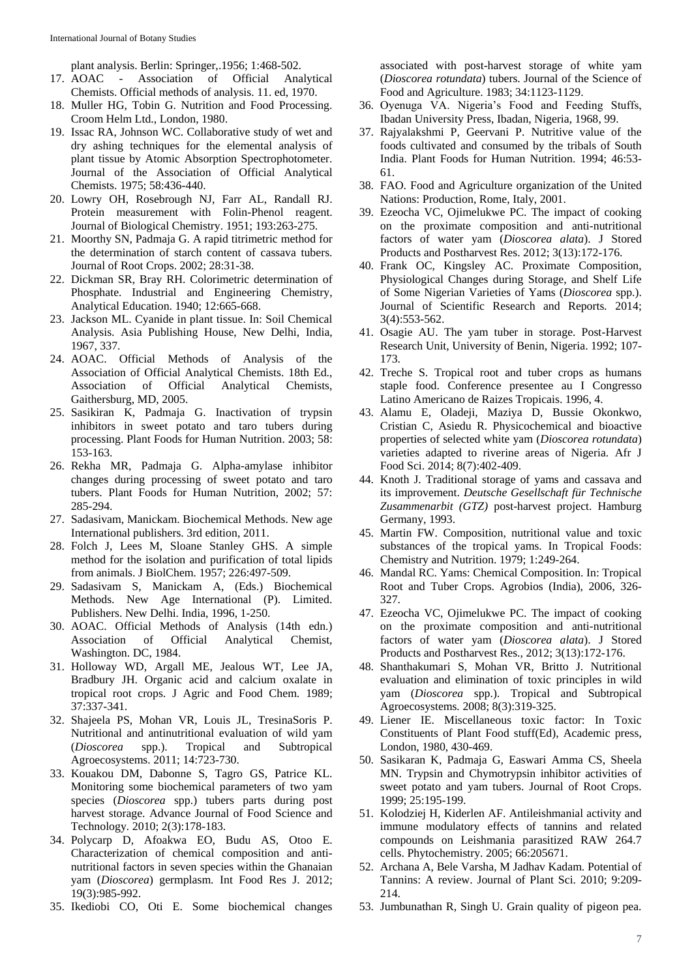plant analysis. Berlin: Springer,.1956; 1:468-502.

- 17. AOAC Association of Official Analytical Chemists. Official methods of analysis. 11. ed, 1970.
- 18. Muller HG, Tobin G. Nutrition and Food Processing. Croom Helm Ltd., London, 1980.
- 19. Issac RA, Johnson WC. Collaborative study of wet and dry ashing techniques for the elemental analysis of plant tissue by Atomic Absorption Spectrophotometer. Journal of the Association of Official Analytical Chemists. 1975; 58:436-440.
- 20. Lowry OH, Rosebrough NJ, Farr AL, Randall RJ. Protein measurement with Folin-Phenol reagent. Journal of Biological Chemistry. 1951; 193:263-275.
- 21. Moorthy SN, Padmaja G. A rapid titrimetric method for the determination of starch content of cassava tubers. Journal of Root Crops. 2002; 28:31-38.
- 22. Dickman SR, Bray RH. Colorimetric determination of Phosphate. Industrial and Engineering Chemistry, Analytical Education. 1940; 12:665-668.
- 23. Jackson ML. Cyanide in plant tissue. In: Soil Chemical Analysis. Asia Publishing House, New Delhi, India, 1967, 337.
- 24. AOAC. Official Methods of Analysis of the Association of Official Analytical Chemists. 18th Ed., Association of Official Analytical Chemists, Gaithersburg, MD, 2005.
- 25. Sasikiran K, Padmaja G. Inactivation of trypsin inhibitors in sweet potato and taro tubers during processing. Plant Foods for Human Nutrition. 2003; 58: 153-163.
- 26. Rekha MR, Padmaja G. Alpha-amylase inhibitor changes during processing of sweet potato and taro tubers. Plant Foods for Human Nutrition, 2002; 57: 285-294.
- 27. Sadasivam, Manickam. Biochemical Methods. New age International publishers. 3rd edition, 2011.
- 28. Folch J, Lees M, Sloane Stanley GHS. A simple method for the isolation and purification of total lipids from animals. J BiolChem*.* 1957; 226:497-509.
- 29. Sadasivam S, Manickam A, (Eds.) Biochemical Methods. New Age International (P). Limited. Publishers. New Delhi. India, 1996, 1-250.
- 30. AOAC. Official Methods of Analysis (14th edn.) Association of Official Analytical Chemist, Washington. DC, 1984.
- 31. Holloway WD, Argall ME, Jealous WT, Lee JA, Bradbury JH. Organic acid and calcium oxalate in tropical root crops. J Agric and Food Chem. 1989; 37:337-341.
- 32. Shajeela PS, Mohan VR, Louis JL, TresinaSoris P. Nutritional and antinutritional evaluation of wild yam (*Dioscorea* spp.). Tropical and Subtropical Agroecosystems. 2011; 14:723-730.
- 33. Kouakou DM, Dabonne S, Tagro GS, Patrice KL. Monitoring some biochemical parameters of two yam species (*Dioscorea* spp.) tubers parts during post harvest storage. Advance Journal of Food Science and Technology*.* 2010; 2(3):178-183.
- 34. Polycarp D, Afoakwa EO, Budu AS, Otoo E. Characterization of chemical composition and antinutritional factors in seven species within the Ghanaian yam (*Dioscorea*) germplasm. Int Food Res J. 2012; 19(3):985-992.
- 35. Ikediobi CO, Oti E. Some biochemical changes

associated with post-harvest storage of white yam (*Dioscorea rotundata*) tubers. Journal of the Science of Food and Agriculture. 1983; 34:1123-1129.

- 36. Oyenuga VA. Nigeria's Food and Feeding Stuffs, Ibadan University Press, Ibadan, Nigeria, 1968, 99.
- 37. Rajyalakshmi P, Geervani P. Nutritive value of the foods cultivated and consumed by the tribals of South India. Plant Foods for Human Nutrition. 1994; 46:53- 61.
- 38. FAO. Food and Agriculture organization of the United Nations: Production, Rome, Italy, 2001.
- 39. Ezeocha VC, Ojimelukwe PC. The impact of cooking on the proximate composition and anti-nutritional factors of water yam (*Dioscorea alata*). J Stored Products and Postharvest Res. 2012; 3(13):172-176.
- 40. Frank OC, Kingsley AC. Proximate Composition, Physiological Changes during Storage, and Shelf Life of Some Nigerian Varieties of Yams (*Dioscorea* spp.). Journal of Scientific Research and Reports*.* 2014; 3(4):553-562.
- 41. Osagie AU. The yam tuber in storage. Post-Harvest Research Unit, University of Benin, Nigeria. 1992; 107- 173.
- 42. Treche S. Tropical root and tuber crops as humans staple food. Conference presentee au I Congresso Latino Americano de Raizes Tropicais. 1996, 4.
- 43. Alamu E, Oladeji, Maziya D, Bussie Okonkwo, Cristian C, Asiedu R. Physicochemical and bioactive properties of selected white yam (*Dioscorea rotundata*) varieties adapted to riverine areas of Nigeria. Afr J Food Sci. 2014; 8(7):402-409.
- 44. Knoth J. Traditional storage of yams and cassava and its improvement. *Deutsche Gesellschaft für Technische Zusammenarbit (GTZ)* post-harvest project. Hamburg Germany, 1993.
- 45. Martin FW. Composition, nutritional value and toxic substances of the tropical yams. In Tropical Foods: Chemistry and Nutrition. 1979; 1:249-264.
- 46. Mandal RC. Yams: Chemical Composition. In: Tropical Root and Tuber Crops. Agrobios (India), 2006, 326- 327.
- 47. Ezeocha VC, Ojimelukwe PC. The impact of cooking on the proximate composition and anti-nutritional factors of water yam (*Dioscorea alata*). J Stored Products and Postharvest Res.*,* 2012; 3(13):172-176.
- 48. Shanthakumari S, Mohan VR, Britto J. Nutritional evaluation and elimination of toxic principles in wild yam (*Dioscorea* spp.). Tropical and Subtropical Agroecosystems*.* 2008; 8(3):319-325.
- 49. Liener IE. Miscellaneous toxic factor: In Toxic Constituents of Plant Food stuff(Ed), Academic press, London, 1980, 430-469.
- 50. Sasikaran K, Padmaja G, Easwari Amma CS, Sheela MN. Trypsin and Chymotrypsin inhibitor activities of sweet potato and yam tubers. Journal of Root Crops. 1999; 25:195-199.
- 51. Kolodziej H, Kiderlen AF. Antileishmanial activity and immune modulatory effects of tannins and related compounds on Leishmania parasitized RAW 264.7 cells. Phytochemistry. 2005; 66:205671.
- 52. Archana A, Bele Varsha, M Jadhav Kadam. Potential of Tannins: A review. Journal of Plant Sci. 2010; 9:209- 214.
- 53. Jumbunathan R, Singh U. Grain quality of pigeon pea.